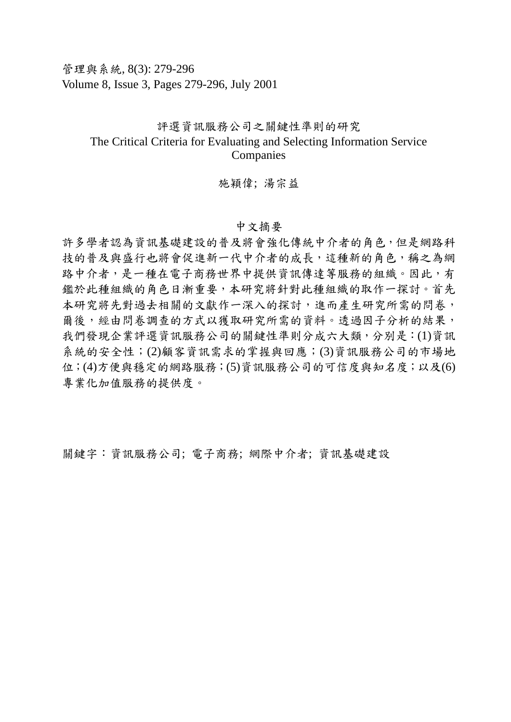管理與系統, 8(3): 279-296 Volume 8, Issue 3, Pages 279-296, July 2001

## 評選資訊服務公司之關鍵性準則的研究 The Critical Criteria for Evaluating and Selecting Information Service Companies

## 施穎偉; 湯宗益

## 中文摘要

許多學者認為資訊基礎建設的普及將會強化傳統中介者的角色,但是網路科 技的普及與盛行也將會促進新一代中介者的成長,這種新的角色,稱之為網 路中介者,是一種在電子商務世界中提供資訊傳達等服務的組織。因此,有 鑑於此種組織的角色日漸重要,本研究將針對此種組織的取作一探討。首先 本研究將先對過去相關的文獻作一深入的探討,進而產生研究所需的問卷, 爾後,經由問卷調查的方式以獲取研究所需的資料。透過因子分析的結果, 我們發現企業評選資訊服務公司的關鍵性準則分成六大類,分別是:(1)資訊 系統的安全性;(2)顧客資訊需求的掌握與回應;(3)資訊服務公司的市場地 位;(4)方便與穩定的網路服務;(5)資訊服務公司的可信度與知名度;以及(6) 專業化加值服務的提供度。

關鍵字:資訊服務公司; 電子商務; 網際中介者; 資訊基礎建設